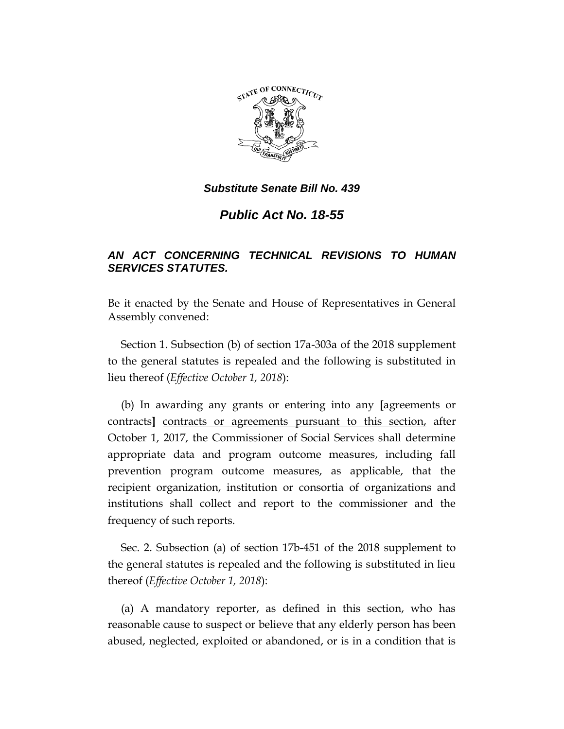

*Public Act No. 18-55*

# *AN ACT CONCERNING TECHNICAL REVISIONS TO HUMAN SERVICES STATUTES.*

Be it enacted by the Senate and House of Representatives in General Assembly convened:

Section 1. Subsection (b) of section 17a-303a of the 2018 supplement to the general statutes is repealed and the following is substituted in lieu thereof (*Effective October 1, 2018*):

(b) In awarding any grants or entering into any **[**agreements or contracts**]** contracts or agreements pursuant to this section, after October 1, 2017, the Commissioner of Social Services shall determine appropriate data and program outcome measures, including fall prevention program outcome measures, as applicable, that the recipient organization, institution or consortia of organizations and institutions shall collect and report to the commissioner and the frequency of such reports.

Sec. 2. Subsection (a) of section 17b-451 of the 2018 supplement to the general statutes is repealed and the following is substituted in lieu thereof (*Effective October 1, 2018*):

(a) A mandatory reporter, as defined in this section, who has reasonable cause to suspect or believe that any elderly person has been abused, neglected, exploited or abandoned, or is in a condition that is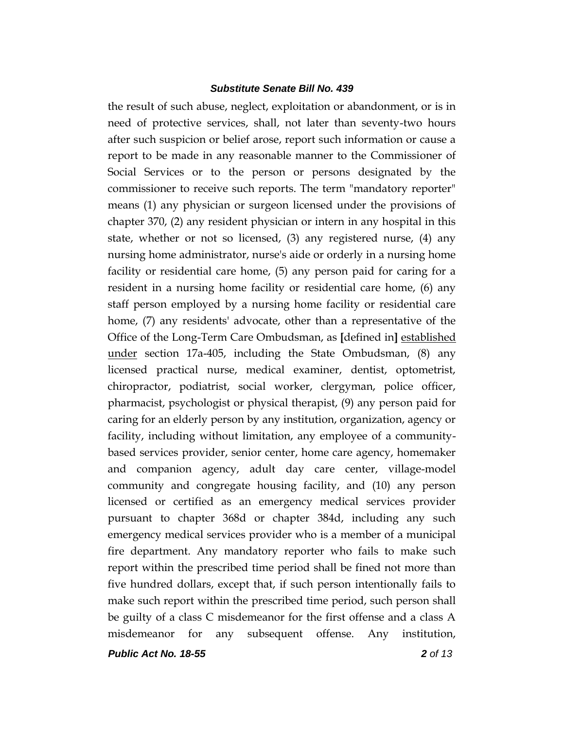the result of such abuse, neglect, exploitation or abandonment, or is in need of protective services, shall, not later than seventy-two hours after such suspicion or belief arose, report such information or cause a report to be made in any reasonable manner to the Commissioner of Social Services or to the person or persons designated by the commissioner to receive such reports. The term "mandatory reporter" means (1) any physician or surgeon licensed under the provisions of chapter 370, (2) any resident physician or intern in any hospital in this state, whether or not so licensed, (3) any registered nurse, (4) any nursing home administrator, nurse's aide or orderly in a nursing home facility or residential care home, (5) any person paid for caring for a resident in a nursing home facility or residential care home, (6) any staff person employed by a nursing home facility or residential care home, (7) any residents' advocate, other than a representative of the Office of the Long-Term Care Ombudsman, as **[**defined in**]** established under section 17a-405, including the State Ombudsman, (8) any licensed practical nurse, medical examiner, dentist, optometrist, chiropractor, podiatrist, social worker, clergyman, police officer, pharmacist, psychologist or physical therapist, (9) any person paid for caring for an elderly person by any institution, organization, agency or facility, including without limitation, any employee of a communitybased services provider, senior center, home care agency, homemaker and companion agency, adult day care center, village-model community and congregate housing facility, and (10) any person licensed or certified as an emergency medical services provider pursuant to chapter 368d or chapter 384d, including any such emergency medical services provider who is a member of a municipal fire department. Any mandatory reporter who fails to make such report within the prescribed time period shall be fined not more than five hundred dollars, except that, if such person intentionally fails to make such report within the prescribed time period, such person shall be guilty of a class C misdemeanor for the first offense and a class A misdemeanor for any subsequent offense. Any institution,

*Public Act No. 18-55 2 of 13*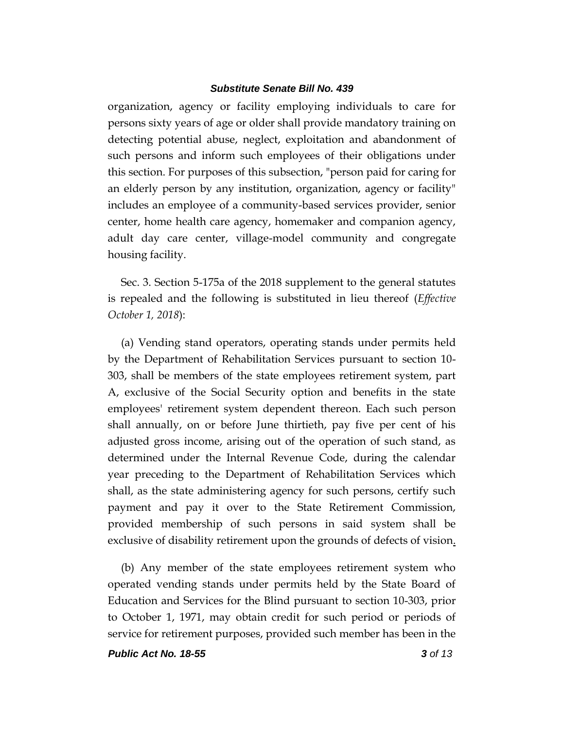organization, agency or facility employing individuals to care for persons sixty years of age or older shall provide mandatory training on detecting potential abuse, neglect, exploitation and abandonment of such persons and inform such employees of their obligations under this section. For purposes of this subsection, "person paid for caring for an elderly person by any institution, organization, agency or facility" includes an employee of a community-based services provider, senior center, home health care agency, homemaker and companion agency, adult day care center, village-model community and congregate housing facility.

Sec. 3. Section 5-175a of the 2018 supplement to the general statutes is repealed and the following is substituted in lieu thereof (*Effective October 1, 2018*):

(a) Vending stand operators, operating stands under permits held by the Department of Rehabilitation Services pursuant to section 10- 303, shall be members of the state employees retirement system, part A, exclusive of the Social Security option and benefits in the state employees' retirement system dependent thereon. Each such person shall annually, on or before June thirtieth, pay five per cent of his adjusted gross income, arising out of the operation of such stand, as determined under the Internal Revenue Code, during the calendar year preceding to the Department of Rehabilitation Services which shall, as the state administering agency for such persons, certify such payment and pay it over to the State Retirement Commission, provided membership of such persons in said system shall be exclusive of disability retirement upon the grounds of defects of vision.

(b) Any member of the state employees retirement system who operated vending stands under permits held by the State Board of Education and Services for the Blind pursuant to section 10-303, prior to October 1, 1971, may obtain credit for such period or periods of service for retirement purposes, provided such member has been in the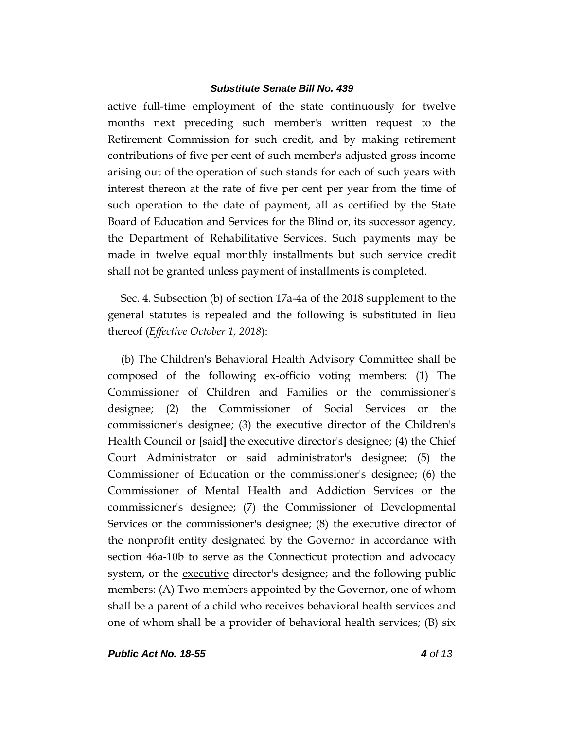active full-time employment of the state continuously for twelve months next preceding such member's written request to the Retirement Commission for such credit, and by making retirement contributions of five per cent of such member's adjusted gross income arising out of the operation of such stands for each of such years with interest thereon at the rate of five per cent per year from the time of such operation to the date of payment, all as certified by the State Board of Education and Services for the Blind or, its successor agency, the Department of Rehabilitative Services. Such payments may be made in twelve equal monthly installments but such service credit shall not be granted unless payment of installments is completed.

Sec. 4. Subsection (b) of section 17a-4a of the 2018 supplement to the general statutes is repealed and the following is substituted in lieu thereof (*Effective October 1, 2018*):

(b) The Children's Behavioral Health Advisory Committee shall be composed of the following ex-officio voting members: (1) The Commissioner of Children and Families or the commissioner's designee; (2) the Commissioner of Social Services or the commissioner's designee; (3) the executive director of the Children's Health Council or **[**said**]** the executive director's designee; (4) the Chief Court Administrator or said administrator's designee; (5) the Commissioner of Education or the commissioner's designee; (6) the Commissioner of Mental Health and Addiction Services or the commissioner's designee; (7) the Commissioner of Developmental Services or the commissioner's designee; (8) the executive director of the nonprofit entity designated by the Governor in accordance with section 46a-10b to serve as the Connecticut protection and advocacy system, or the executive director's designee; and the following public members: (A) Two members appointed by the Governor, one of whom shall be a parent of a child who receives behavioral health services and one of whom shall be a provider of behavioral health services; (B) six

*Public Act No. 18-55 4 of 13*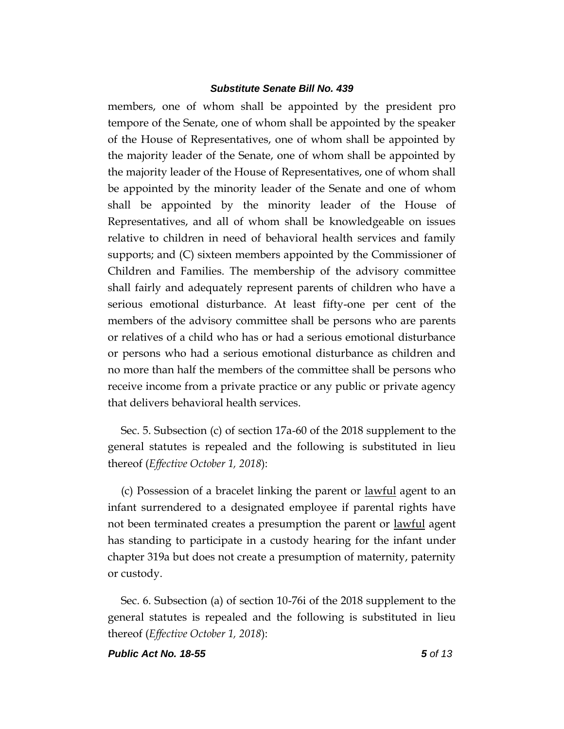members, one of whom shall be appointed by the president pro tempore of the Senate, one of whom shall be appointed by the speaker of the House of Representatives, one of whom shall be appointed by the majority leader of the Senate, one of whom shall be appointed by the majority leader of the House of Representatives, one of whom shall be appointed by the minority leader of the Senate and one of whom shall be appointed by the minority leader of the House of Representatives, and all of whom shall be knowledgeable on issues relative to children in need of behavioral health services and family supports; and (C) sixteen members appointed by the Commissioner of Children and Families. The membership of the advisory committee shall fairly and adequately represent parents of children who have a serious emotional disturbance. At least fifty-one per cent of the members of the advisory committee shall be persons who are parents or relatives of a child who has or had a serious emotional disturbance or persons who had a serious emotional disturbance as children and no more than half the members of the committee shall be persons who receive income from a private practice or any public or private agency that delivers behavioral health services.

Sec. 5. Subsection (c) of section 17a-60 of the 2018 supplement to the general statutes is repealed and the following is substituted in lieu thereof (*Effective October 1, 2018*):

(c) Possession of a bracelet linking the parent or lawful agent to an infant surrendered to a designated employee if parental rights have not been terminated creates a presumption the parent or <u>lawful</u> agent has standing to participate in a custody hearing for the infant under chapter 319a but does not create a presumption of maternity, paternity or custody.

Sec. 6. Subsection (a) of section 10-76i of the 2018 supplement to the general statutes is repealed and the following is substituted in lieu thereof (*Effective October 1, 2018*):

*Public Act No. 18-55 5 of 13*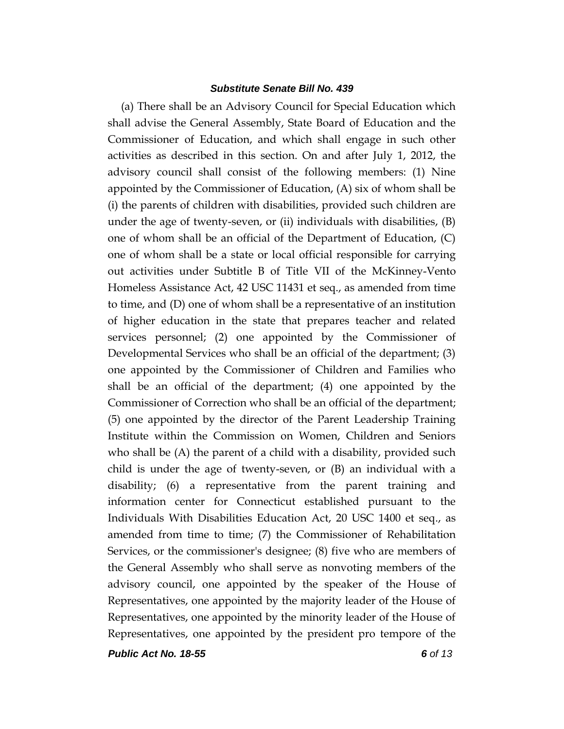(a) There shall be an Advisory Council for Special Education which shall advise the General Assembly, State Board of Education and the Commissioner of Education, and which shall engage in such other activities as described in this section. On and after July 1, 2012, the advisory council shall consist of the following members: (1) Nine appointed by the Commissioner of Education, (A) six of whom shall be (i) the parents of children with disabilities, provided such children are under the age of twenty-seven, or (ii) individuals with disabilities, (B) one of whom shall be an official of the Department of Education, (C) one of whom shall be a state or local official responsible for carrying out activities under Subtitle B of Title VII of the McKinney-Vento Homeless Assistance Act, 42 USC 11431 et seq., as amended from time to time, and (D) one of whom shall be a representative of an institution of higher education in the state that prepares teacher and related services personnel; (2) one appointed by the Commissioner of Developmental Services who shall be an official of the department; (3) one appointed by the Commissioner of Children and Families who shall be an official of the department; (4) one appointed by the Commissioner of Correction who shall be an official of the department; (5) one appointed by the director of the Parent Leadership Training Institute within the Commission on Women, Children and Seniors who shall be (A) the parent of a child with a disability, provided such child is under the age of twenty-seven, or (B) an individual with a disability; (6) a representative from the parent training and information center for Connecticut established pursuant to the Individuals With Disabilities Education Act, 20 USC 1400 et seq., as amended from time to time; (7) the Commissioner of Rehabilitation Services, or the commissioner's designee; (8) five who are members of the General Assembly who shall serve as nonvoting members of the advisory council, one appointed by the speaker of the House of Representatives, one appointed by the majority leader of the House of Representatives, one appointed by the minority leader of the House of Representatives, one appointed by the president pro tempore of the

*Public Act No. 18-55 6 of 13*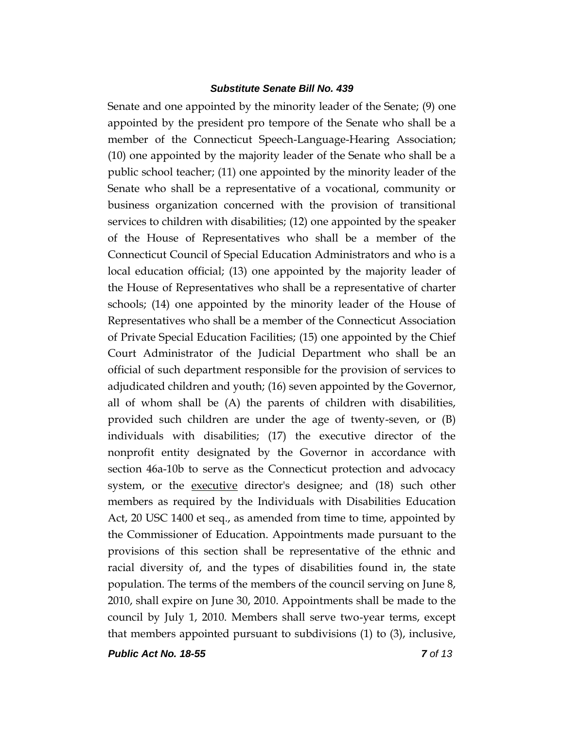Senate and one appointed by the minority leader of the Senate; (9) one appointed by the president pro tempore of the Senate who shall be a member of the Connecticut Speech-Language-Hearing Association; (10) one appointed by the majority leader of the Senate who shall be a public school teacher; (11) one appointed by the minority leader of the Senate who shall be a representative of a vocational, community or business organization concerned with the provision of transitional services to children with disabilities; (12) one appointed by the speaker of the House of Representatives who shall be a member of the Connecticut Council of Special Education Administrators and who is a local education official; (13) one appointed by the majority leader of the House of Representatives who shall be a representative of charter schools; (14) one appointed by the minority leader of the House of Representatives who shall be a member of the Connecticut Association of Private Special Education Facilities; (15) one appointed by the Chief Court Administrator of the Judicial Department who shall be an official of such department responsible for the provision of services to adjudicated children and youth; (16) seven appointed by the Governor, all of whom shall be (A) the parents of children with disabilities, provided such children are under the age of twenty-seven, or (B) individuals with disabilities; (17) the executive director of the nonprofit entity designated by the Governor in accordance with section 46a-10b to serve as the Connecticut protection and advocacy system, or the executive director's designee; and (18) such other members as required by the Individuals with Disabilities Education Act, 20 USC 1400 et seq., as amended from time to time, appointed by the Commissioner of Education. Appointments made pursuant to the provisions of this section shall be representative of the ethnic and racial diversity of, and the types of disabilities found in, the state population. The terms of the members of the council serving on June 8, 2010, shall expire on June 30, 2010. Appointments shall be made to the council by July 1, 2010. Members shall serve two-year terms, except that members appointed pursuant to subdivisions (1) to (3), inclusive,

*Public Act No. 18-55 7 of 13*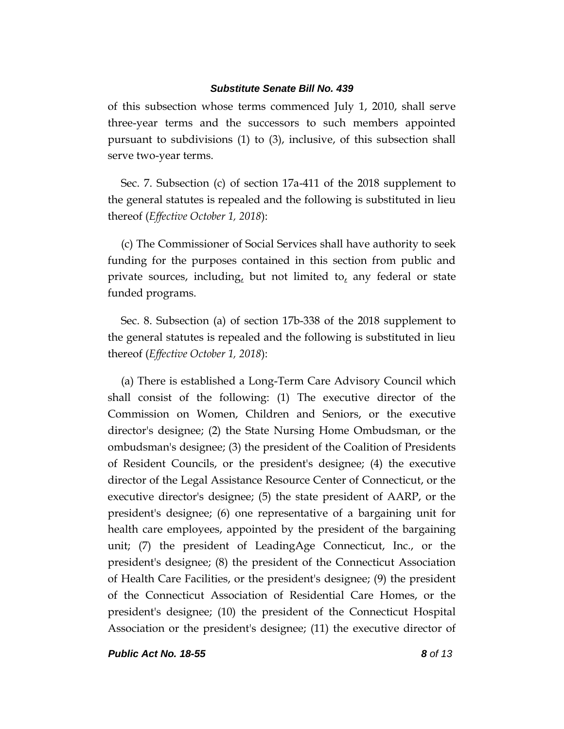of this subsection whose terms commenced July 1, 2010, shall serve three-year terms and the successors to such members appointed pursuant to subdivisions (1) to (3), inclusive, of this subsection shall serve two-year terms.

Sec. 7. Subsection (c) of section 17a-411 of the 2018 supplement to the general statutes is repealed and the following is substituted in lieu thereof (*Effective October 1, 2018*):

(c) The Commissioner of Social Services shall have authority to seek funding for the purposes contained in this section from public and private sources, including, but not limited to, any federal or state funded programs.

Sec. 8. Subsection (a) of section 17b-338 of the 2018 supplement to the general statutes is repealed and the following is substituted in lieu thereof (*Effective October 1, 2018*):

(a) There is established a Long-Term Care Advisory Council which shall consist of the following: (1) The executive director of the Commission on Women, Children and Seniors, or the executive director's designee; (2) the State Nursing Home Ombudsman, or the ombudsman's designee; (3) the president of the Coalition of Presidents of Resident Councils, or the president's designee; (4) the executive director of the Legal Assistance Resource Center of Connecticut, or the executive director's designee; (5) the state president of AARP, or the president's designee; (6) one representative of a bargaining unit for health care employees, appointed by the president of the bargaining unit; (7) the president of LeadingAge Connecticut, Inc., or the president's designee; (8) the president of the Connecticut Association of Health Care Facilities, or the president's designee; (9) the president of the Connecticut Association of Residential Care Homes, or the president's designee; (10) the president of the Connecticut Hospital Association or the president's designee; (11) the executive director of

*Public Act No. 18-55 8 of 13*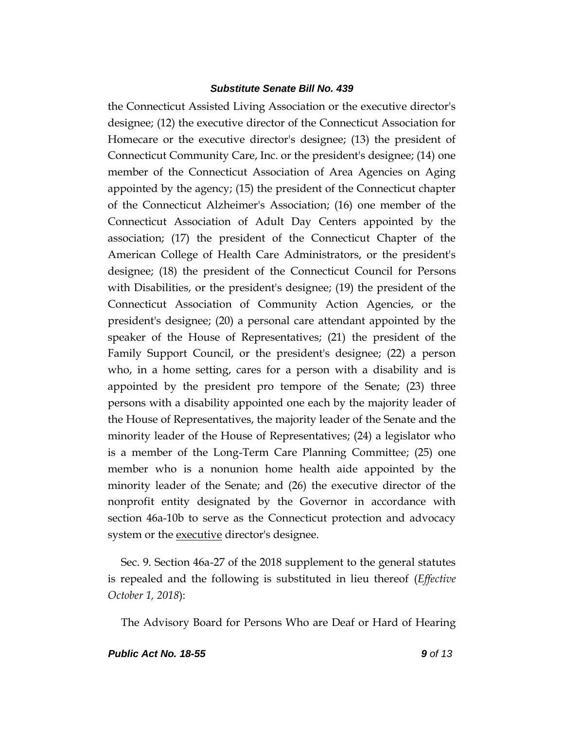the Connecticut Assisted Living Association or the executive director's designee; (12) the executive director of the Connecticut Association for Homecare or the executive director's designee; (13) the president of Connecticut Community Care, Inc. or the president's designee; (14) one member of the Connecticut Association of Area Agencies on Aging appointed by the agency; (15) the president of the Connecticut chapter of the Connecticut Alzheimer's Association; (16) one member of the Connecticut Association of Adult Day Centers appointed by the association; (17) the president of the Connecticut Chapter of the American College of Health Care Administrators, or the president's designee; (18) the president of the Connecticut Council for Persons with Disabilities, or the president's designee; (19) the president of the Connecticut Association of Community Action Agencies, or the president's designee; (20) a personal care attendant appointed by the speaker of the House of Representatives; (21) the president of the Family Support Council, or the president's designee; (22) a person who, in a home setting, cares for a person with a disability and is appointed by the president pro tempore of the Senate; (23) three persons with a disability appointed one each by the majority leader of the House of Representatives, the majority leader of the Senate and the minority leader of the House of Representatives; (24) a legislator who is a member of the Long-Term Care Planning Committee; (25) one member who is a nonunion home health aide appointed by the minority leader of the Senate; and (26) the executive director of the nonprofit entity designated by the Governor in accordance with section 46a-10b to serve as the Connecticut protection and advocacy system or the <u>executive</u> director's designee.

Sec. 9. Section 46a-27 of the 2018 supplement to the general statutes is repealed and the following is substituted in lieu thereof (*Effective October 1, 2018*):

The Advisory Board for Persons Who are Deaf or Hard of Hearing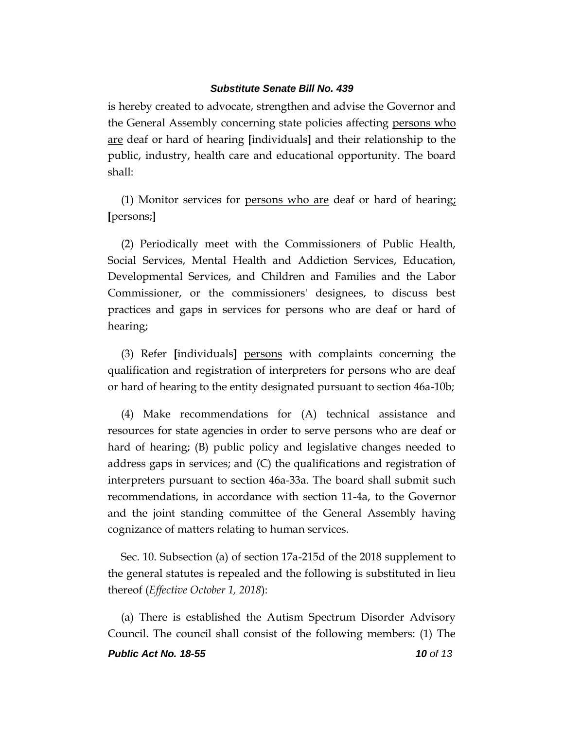is hereby created to advocate, strengthen and advise the Governor and the General Assembly concerning state policies affecting persons who are deaf or hard of hearing **[**individuals**]** and their relationship to the public, industry, health care and educational opportunity. The board shall:

(1) Monitor services for persons who are deaf or hard of hearing; **[**persons;**]**

(2) Periodically meet with the Commissioners of Public Health, Social Services, Mental Health and Addiction Services, Education, Developmental Services, and Children and Families and the Labor Commissioner, or the commissioners' designees, to discuss best practices and gaps in services for persons who are deaf or hard of hearing;

(3) Refer **[**individuals**]** persons with complaints concerning the qualification and registration of interpreters for persons who are deaf or hard of hearing to the entity designated pursuant to section 46a-10b;

(4) Make recommendations for (A) technical assistance and resources for state agencies in order to serve persons who are deaf or hard of hearing; (B) public policy and legislative changes needed to address gaps in services; and (C) the qualifications and registration of interpreters pursuant to section 46a-33a. The board shall submit such recommendations, in accordance with section 11-4a, to the Governor and the joint standing committee of the General Assembly having cognizance of matters relating to human services.

Sec. 10. Subsection (a) of section 17a-215d of the 2018 supplement to the general statutes is repealed and the following is substituted in lieu thereof (*Effective October 1, 2018*):

(a) There is established the Autism Spectrum Disorder Advisory Council. The council shall consist of the following members: (1) The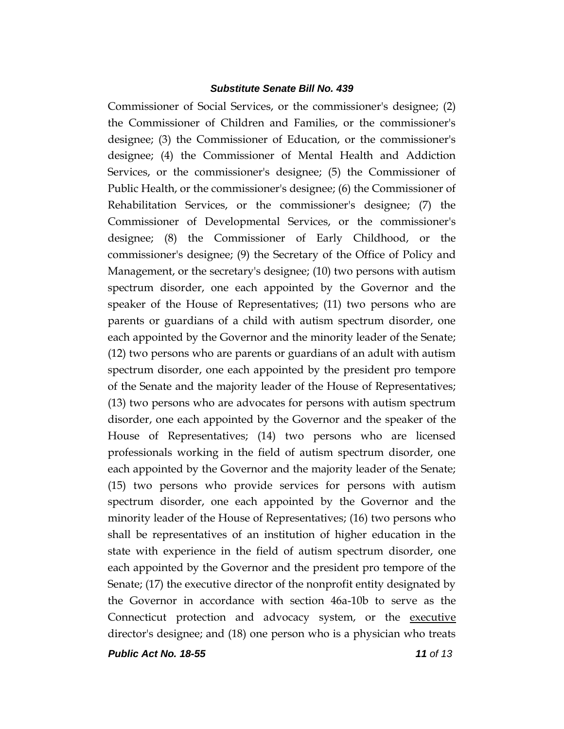Commissioner of Social Services, or the commissioner's designee; (2) the Commissioner of Children and Families, or the commissioner's designee; (3) the Commissioner of Education, or the commissioner's designee; (4) the Commissioner of Mental Health and Addiction Services, or the commissioner's designee; (5) the Commissioner of Public Health, or the commissioner's designee; (6) the Commissioner of Rehabilitation Services, or the commissioner's designee; (7) the Commissioner of Developmental Services, or the commissioner's designee; (8) the Commissioner of Early Childhood, or the commissioner's designee; (9) the Secretary of the Office of Policy and Management, or the secretary's designee; (10) two persons with autism spectrum disorder, one each appointed by the Governor and the speaker of the House of Representatives; (11) two persons who are parents or guardians of a child with autism spectrum disorder, one each appointed by the Governor and the minority leader of the Senate; (12) two persons who are parents or guardians of an adult with autism spectrum disorder, one each appointed by the president pro tempore of the Senate and the majority leader of the House of Representatives; (13) two persons who are advocates for persons with autism spectrum disorder, one each appointed by the Governor and the speaker of the House of Representatives; (14) two persons who are licensed professionals working in the field of autism spectrum disorder, one each appointed by the Governor and the majority leader of the Senate; (15) two persons who provide services for persons with autism spectrum disorder, one each appointed by the Governor and the minority leader of the House of Representatives; (16) two persons who shall be representatives of an institution of higher education in the state with experience in the field of autism spectrum disorder, one each appointed by the Governor and the president pro tempore of the Senate; (17) the executive director of the nonprofit entity designated by the Governor in accordance with section 46a-10b to serve as the Connecticut protection and advocacy system, or the executive director's designee; and (18) one person who is a physician who treats

*Public Act No. 18-55 11 of 13*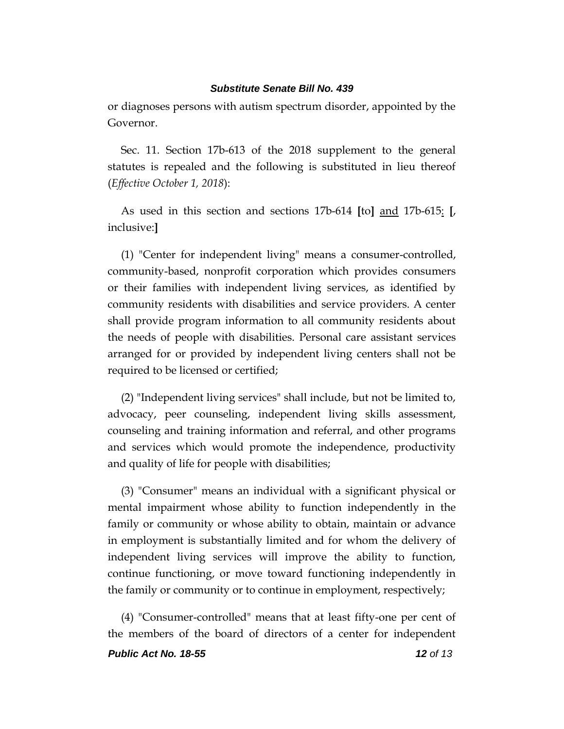or diagnoses persons with autism spectrum disorder, appointed by the Governor.

Sec. 11. Section 17b-613 of the 2018 supplement to the general statutes is repealed and the following is substituted in lieu thereof (*Effective October 1, 2018*):

As used in this section and sections 17b-614 **[**to**]** and 17b-615: **[**, inclusive:**]**

(1) "Center for independent living" means a consumer-controlled, community-based, nonprofit corporation which provides consumers or their families with independent living services, as identified by community residents with disabilities and service providers. A center shall provide program information to all community residents about the needs of people with disabilities. Personal care assistant services arranged for or provided by independent living centers shall not be required to be licensed or certified;

(2) "Independent living services" shall include, but not be limited to, advocacy, peer counseling, independent living skills assessment, counseling and training information and referral, and other programs and services which would promote the independence, productivity and quality of life for people with disabilities;

(3) "Consumer" means an individual with a significant physical or mental impairment whose ability to function independently in the family or community or whose ability to obtain, maintain or advance in employment is substantially limited and for whom the delivery of independent living services will improve the ability to function, continue functioning, or move toward functioning independently in the family or community or to continue in employment, respectively;

(4) "Consumer-controlled" means that at least fifty-one per cent of the members of the board of directors of a center for independent